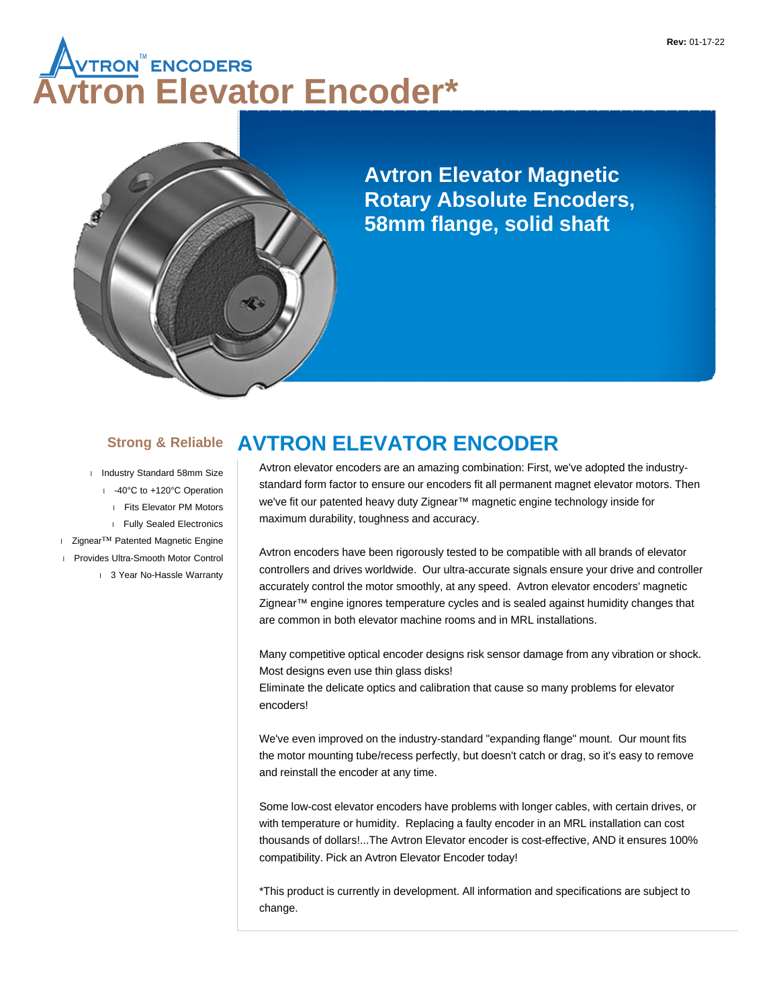# **AVTRON<sup>®</sup>ENCODERS<br>Vtron Elevator Encoder\***



**Avtron Elevator Magnetic Rotary Absolute Encoders, 58mm flange, solid shaft**

### **Strong & Reliable**

I Industry Standard 58mm Size -40°C to +120°C Operation Fits Elevator PM Motors Fully Sealed Electronics Zignear™ Patented Magnetic Engine Provides Ultra-Smooth Motor Control 1 3 Year No-Hassle Warranty

### **AVTRON ELEVATOR ENCODER**

Avtron elevator encoders are an amazing combination: First, we've adopted the industrystandard form factor to ensure our encoders fit all permanent magnet elevator motors. Then we've fit our patented heavy duty Zignear™ magnetic engine technology inside for maximum durability, toughness and accuracy.

Avtron encoders have been rigorously tested to be compatible with all brands of elevator controllers and drives worldwide. Our ultra-accurate signals ensure your drive and controller accurately control the motor smoothly, at any speed. Avtron elevator encoders' magnetic Zignear™ engine ignores temperature cycles and is sealed against humidity changes that are common in both elevator machine rooms and in MRL installations.

Many competitive optical encoder designs risk sensor damage from any vibration or shock. Most designs even use thin glass disks!

Eliminate the delicate optics and calibration that cause so many problems for elevator encoders!

We've even improved on the industry-standard "expanding flange" mount. Our mount fits the motor mounting tube/recess perfectly, but doesn't catch or drag, so it's easy to remove and reinstall the encoder at any time.

Some low-cost elevator encoders have problems with longer cables, with certain drives, or with temperature or humidity. Replacing a faulty encoder in an MRL installation can cost thousands of dollars!...The Avtron Elevator encoder is cost-effective, AND it ensures 100% compatibility. Pick an Avtron Elevator Encoder today!

\*This product is currently in development. All information and specifications are subject to change.